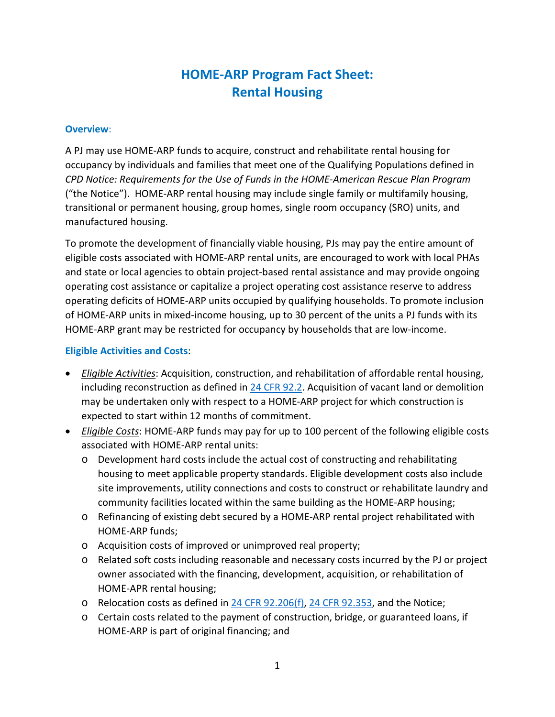# **HOME-ARP Program Fact Sheet: Rental Housing**

#### **Overview**:

A PJ may use HOME-ARP funds to acquire, construct and rehabilitate rental housing for occupancy by individuals and families that meet one of the Qualifying Populations defined in *CPD Notice: Requirements for the Use of Funds in the HOME-American Rescue Plan Program* ("the Notice"). HOME-ARP rental housing may include single family or multifamily housing, transitional or permanent housing, group homes, single room occupancy (SRO) units, and manufactured housing.

To promote the development of financially viable housing, PJs may pay the entire amount of eligible costs associated with HOME-ARP rental units, are encouraged to work with local PHAs and state or local agencies to obtain project-based rental assistance and may provide ongoing operating cost assistance or capitalize a project operating cost assistance reserve to address operating deficits of HOME-ARP units occupied by qualifying households. To promote inclusion of HOME-ARP units in mixed-income housing, up to 30 percent of the units a PJ funds with its HOME-ARP grant may be restricted for occupancy by households that are low-income.

#### **Eligible Activities and Costs**:

- *Eligible Activities*: Acquisition, construction, and rehabilitation of affordable rental housing, including reconstruction as defined in  $24$  CFR 92.2. Acquisition of vacant land or demolition may be undertaken only with respect to a HOME-ARP project for which construction is expected to start within 12 months of commitment.
- *Eligible Costs*: HOME-ARP funds may pay for up to 100 percent of the following eligible costs associated with HOME-ARP rental units:
	- o Development hard costs include the actual cost of constructing and rehabilitating housing to meet applicable property standards. Eligible development costs also include site improvements, utility connections and costs to construct or rehabilitate laundry and community facilities located within the same building as the HOME-ARP housing;
	- o Refinancing of existing debt secured by a HOME-ARP rental project rehabilitated with HOME-ARP funds;
	- o Acquisition costs of improved or unimproved real property;
	- o Related soft costs including reasonable and necessary costs incurred by the PJ or project owner associated with the financing, development, acquisition, or rehabilitation of HOME-APR rental housing;
	- o Relocation costs as defined in 24 CFR 92.206(f), 24 CFR 92.353, and the Notice;
	- o Certain costs related to the payment of construction, bridge, or guaranteed loans, if HOME-ARP is part of original financing; and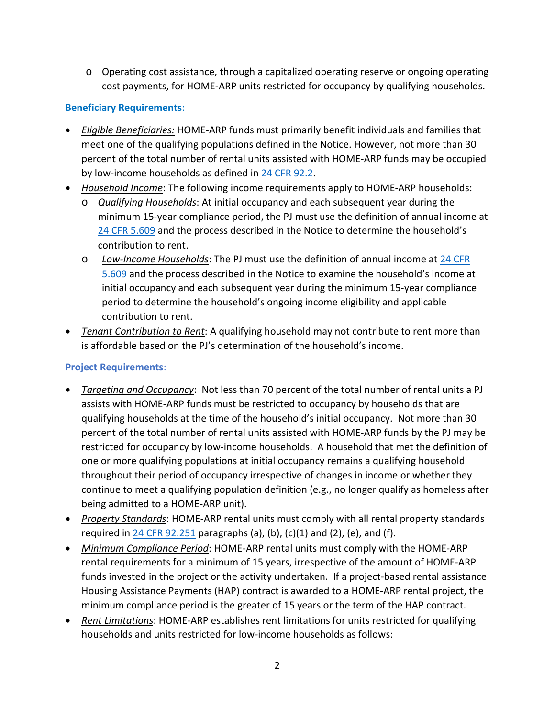o Operating cost assistance, through a capitalized operating reserve or ongoing operating cost payments, for HOME-ARP units restricted for occupancy by qualifying households.

## **Beneficiary Requirements**:

- *Eligible Beneficiaries:* HOME-ARP funds must primarily benefit individuals and families that meet one of the qualifying populations defined in the Notice. However, not more than 30 percent of the total number of rental units assisted with HOME-ARP funds may be occupied by low-income households as defined in 24 CFR 92.2.
- *Household Income*: The following income requirements apply to HOME-ARP households:
	- o *Qualifying Households*: At initial occupancy and each subsequent year during the minimum 15-year compliance period, the PJ must use the definition of annual income at 24 CFR 5.609 and the process described in the Notice to determine the household's contribution to rent.
	- o *Low-Income Households*: The PJ must use the definition of annual income at 24 CFR 5.609 and the process described in the Notice to examine the household's income at initial occupancy and each subsequent year during the minimum 15-year compliance period to determine the household's ongoing income eligibility and applicable contribution to rent.
- *Tenant Contribution to Rent*: A qualifying household may not contribute to rent more than is affordable based on the PJ's determination of the household's income.

### **Project Requirements**:

- *Targeting and Occupancy*: Not less than 70 percent of the total number of rental units a PJ assists with HOME-ARP funds must be restricted to occupancy by households that are qualifying households at the time of the household's initial occupancy. Not more than 30 percent of the total number of rental units assisted with HOME-ARP funds by the PJ may be restricted for occupancy by low-income households. A household that met the definition of one or more qualifying populations at initial occupancy remains a qualifying household throughout their period of occupancy irrespective of changes in income or whether they continue to meet a qualifying population definition (e.g., no longer qualify as homeless after being admitted to a HOME-ARP unit).
- *Property Standards*: HOME-ARP rental units must comply with all rental property standards required in 24 CFR 92.251 paragraphs (a), (b), (c)(1) and (2), (e), and (f).
- *Minimum Compliance Period*: HOME-ARP rental units must comply with the HOME-ARP rental requirements for a minimum of 15 years, irrespective of the amount of HOME-ARP funds invested in the project or the activity undertaken. If a project-based rental assistance Housing Assistance Payments (HAP) contract is awarded to a HOME-ARP rental project, the minimum compliance period is the greater of 15 years or the term of the HAP contract.
- *Rent Limitations*: HOME-ARP establishes rent limitations for units restricted for qualifying households and units restricted for low-income households as follows: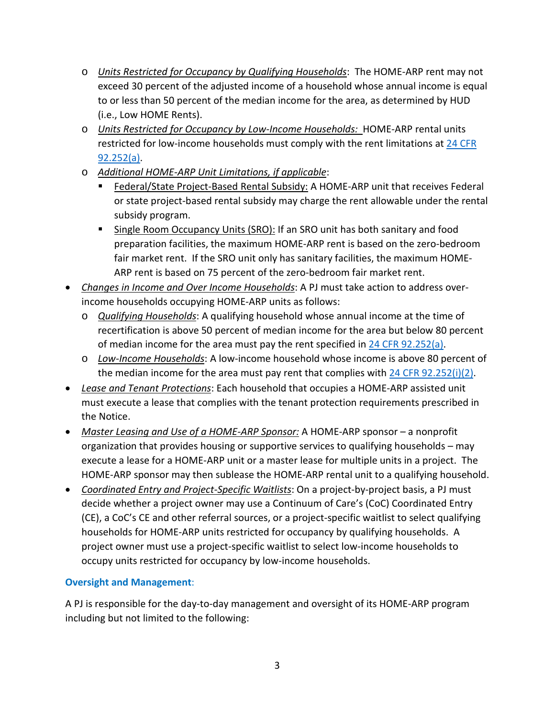- o *Units Restricted for Occupancy by Qualifying Households*: The HOME-ARP rent may not exceed 30 percent of the adjusted income of a household whose annual income is equal to or less than 50 percent of the median income for the area, as determined by HUD (i.e., Low HOME Rents).
- o *Units Restricted for Occupancy by Low-Income Households:* HOME-ARP rental units restricted for low-income households must comply with the rent limitations at 24 CFR 92.252(a).
- o *Additional HOME-ARP Unit Limitations, if applicable*:
	- Federal/State Project-Based Rental Subsidy: A HOME-ARP unit that receives Federal or state project-based rental subsidy may charge the rent allowable under the rental subsidy program.
	- Single Room Occupancy Units (SRO): If an SRO unit has both sanitary and food preparation facilities, the maximum HOME-ARP rent is based on the zero-bedroom fair market rent. If the SRO unit only has sanitary facilities, the maximum HOME-ARP rent is based on 75 percent of the zero-bedroom fair market rent.
- *Changes in Income and Over Income Households*: A PJ must take action to address overincome households occupying HOME-ARP units as follows:
	- o *Qualifying Households*: A qualifying household whose annual income at the time of recertification is above 50 percent of median income for the area but below 80 percent of median income for the area must pay the rent specified in 24 CFR 92.252(a).
	- o *Low-Income Households*: A low-income household whose income is above 80 percent of the median income for the area must pay rent that complies with  $24$  CFR 92.252(i)(2).
- *Lease and Tenant Protections*: Each household that occupies a HOME-ARP assisted unit must execute a lease that complies with the tenant protection requirements prescribed in the Notice.
- *Master Leasing and Use of a HOME-ARP Sponsor:* A HOME-ARP sponsor a nonprofit organization that provides housing or supportive services to qualifying households – may execute a lease for a HOME-ARP unit or a master lease for multiple units in a project. The HOME-ARP sponsor may then sublease the HOME-ARP rental unit to a qualifying household.
- *Coordinated Entry and Project-Specific Waitlists*: On a project-by-project basis, a PJ must decide whether a project owner may use a Continuum of Care's (CoC) Coordinated Entry (CE), a CoC's CE and other referral sources, or a project-specific waitlist to select qualifying households for HOME-ARP units restricted for occupancy by qualifying households. A project owner must use a project-specific waitlist to select low-income households to occupy units restricted for occupancy by low-income households.

## **Oversight and Management**:

A PJ is responsible for the day-to-day management and oversight of its HOME-ARP program including but not limited to the following: